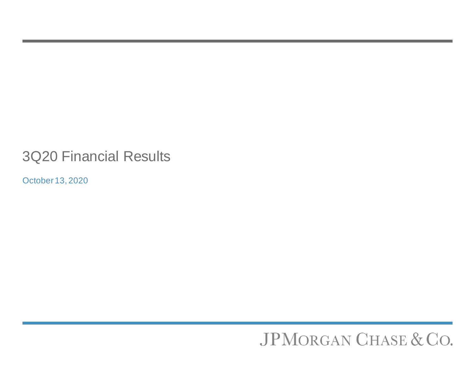# 3Q20 Financial Results

October 13, 2020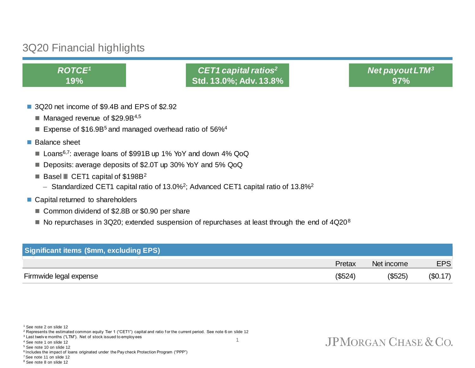## 3Q20 Financial highlights

*ROTCE<sup>1</sup>* **19%**

*CET1 capital ratios<sup>2</sup>* **Std. 13.0%; Adv. 13.8%** *Net payout LTM<sup>3</sup>* **97%**

- 3Q20 net income of \$9.4B and EPS of \$2.92
	- $\blacksquare$  Managed revenue of \$29.9B<sup>4,5</sup>
	- Expense of  $$16.9B<sup>5</sup>$  and managed overhead ratio of 56%<sup>4</sup>
- Balance sheet
	- Loans<sup>6,7</sup>: average loans of \$991B up 1% YoY and down 4% QoQ
	- Deposits: average deposits of \$2.0T up 30% YoY and 5% QoQ
	- **Basel III** CET1 capital of  $$198B^2$ 
		- $-$  Standardized CET1 capital ratio of 13.0%<sup>2</sup>; Advanced CET1 capital ratio of 13.8%<sup>2</sup>
- Capital returned to shareholders
	- Common dividend of \$2.8B or \$0.90 per share
	- $\blacksquare$  No repurchases in 3Q20; extended suspension of repurchases at least through the end of 4Q20<sup>8</sup>

| <b>Significant items (\$mm, excluding EPS)</b> |         |            |            |
|------------------------------------------------|---------|------------|------------|
|                                                | Pretax  | Net income | <b>EPS</b> |
| Firmwide legal expense                         | (\$524) | (\$525)    | (\$0.17)   |

<sup>1</sup> See note 2 on slide 12

<sup>3</sup> Last twelv e months ("LTM"). Net of stock issued to employ ees

<sup>4</sup> See note 1 on slide 12

<sup>5</sup> See note 10 on slide 12

<sup>6</sup> Includes the impact of loans originated under the Pay check Protection Program ("PPP")

<sup>7</sup>See note 11 on slide 12 <sup>8</sup> See note 8 on slide 12

1

<sup>&</sup>lt;sup>2</sup> Represents the estimated common equity Tier 1 ("CET1") capital and ratio for the current period. See note 6 on slide 12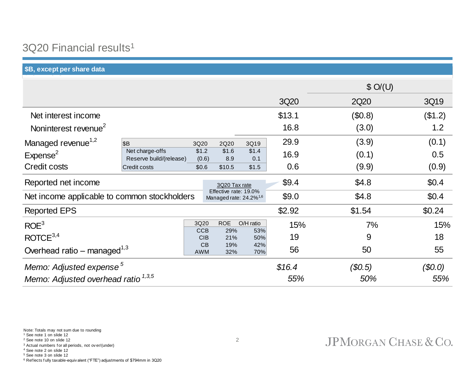## 3Q20 Financial results<sup>1</sup>

**\$B, except per share data**

|                                                |                                            |                    |                                                             |                  |        | \$O/(U) |         |
|------------------------------------------------|--------------------------------------------|--------------------|-------------------------------------------------------------|------------------|--------|---------|---------|
|                                                |                                            |                    |                                                             |                  | 3Q20   | 2Q20    | 3Q19    |
| Net interest income                            |                                            |                    |                                                             |                  | \$13.1 | (\$0.8) | (\$1.2) |
| Noninterest revenue <sup>2</sup>               |                                            |                    |                                                             |                  | 16.8   | (3.0)   | 1.2     |
| Managed revenue <sup>1,2</sup>                 | βB                                         | 3Q20               | 2Q20                                                        | 3Q19             | 29.9   | (3.9)   | (0.1)   |
| Expense <sup>2</sup>                           | Net charge-offs<br>Reserve build/(release) | \$1.2<br>(0.6)     | \$1.6<br>8.9                                                | \$1.4<br>0.1     | 16.9   | (0.1)   | 0.5     |
| <b>Credit costs</b>                            | <b>Credit costs</b>                        | \$0.6              | \$10.5                                                      | \$1.5            | 0.6    | (9.9)   | (0.9)   |
| Reported net income                            |                                            |                    | 3Q20 Tax rate                                               |                  | \$9.4  | \$4.8   | \$0.4   |
| Net income applicable to common stockholders   |                                            |                    | Effective rate: 19.0%<br>Managed rate: 24.2% <sup>1,6</sup> |                  | \$9.0  | \$4.8   | \$0.4   |
| <b>Reported EPS</b>                            |                                            |                    |                                                             |                  | \$2.92 | \$1.54  | \$0.24  |
| ROE <sup>3</sup>                               |                                            | 3Q20<br><b>CCB</b> | <b>ROE</b><br>29%                                           | O/H ratio<br>53% | 15%    | 7%      | 15%     |
| ROICE <sup>3,4</sup>                           |                                            | <b>CIB</b>         | 21%                                                         | 50%              | 19     | 9       | 18      |
| Overhead ratio – managed <sup>1,3</sup>        |                                            | CB<br><b>AWM</b>   | 19%<br>32%                                                  | 42%<br>70%       | 56     | 50      | 55      |
| Memo: Adjusted expense <sup>5</sup>            |                                            |                    |                                                             |                  | \$16.4 | (\$0.5) | \$0.0\$ |
| Memo: Adjusted overhead ratio <sup>1,3,5</sup> |                                            |                    |                                                             |                  | 55%    | 50%     | 55%     |

<sup>2</sup> See note 10 on slide 12

<sup>3</sup> Actual numbers f or all periods, not ov er/(under)

<sup>4</sup> See note 2 on slide 12 <sup>5</sup> See note 3 on slide 12

<sup>6</sup> Ref lects f ully taxable-equiv alent ("FTE") adjustments of \$794mm in 3Q20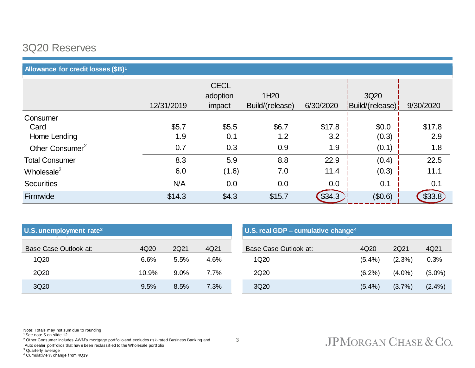## 3Q20 Reserves

## **Allowance for credit losses (\$B)<sup>1</sup>**

|                             |            | <b>CECL</b> |                  |           |                 |           |
|-----------------------------|------------|-------------|------------------|-----------|-----------------|-----------|
|                             |            | adoption    | 1H <sub>20</sub> |           | 3Q20            |           |
|                             | 12/31/2019 | impact      | Build/(release)  | 6/30/2020 | Build/(release) | 9/30/2020 |
| Consumer                    |            |             |                  |           |                 |           |
| Card                        | \$5.7      | \$5.5       | \$6.7            | \$17.8    | \$0.0           | \$17.8    |
| Home Lending                | 1.9        | 0.1         | 1.2              | 3.2       | (0.3)           | 2.9       |
| Other Consumer <sup>2</sup> | 0.7        | 0.3         | 0.9              | 1.9       | (0.1)           | 1.8       |
| <b>Total Consumer</b>       | 8.3        | 5.9         | 8.8              | 22.9      | (0.4)           | 22.5      |
| Wholesale $2$               | 6.0        | (1.6)       | 7.0              | 11.4      | (0.3)           | 11.1      |
| <b>Securities</b>           | <b>N/A</b> | 0.0         | 0.0              | 0.0       | 0.1             | 0.1       |
| Firmwide                    | \$14.3     | \$4.3       | \$15.7           | \$34.3    | (\$0.6)         | \$33.8]   |

| U.S. unemployment rate <sup>3</sup> |       |         |         | U.S. real GDP - cumulative change <sup>4</sup> |           |           |           |
|-------------------------------------|-------|---------|---------|------------------------------------------------|-----------|-----------|-----------|
| Base Case Outlook at:               | 4Q20  | 2Q21    | 4Q21    | Base Case Outlook at:                          | 4Q20      | 2Q21      | 4Q21      |
| 1Q20                                | 6.6%  | 5.5%    | 4.6%    | 1Q20                                           | (5.4%)    | $(2.3\%)$ | 0.3%      |
| 2Q20                                | 10.9% | $9.0\%$ | $7.7\%$ | 2Q20                                           | $(6.2\%)$ | $(4.0\%)$ | $(3.0\%)$ |
| 3Q20                                | 9.5%  | 8.5%    | 7.3%    | 3Q20                                           | $(5.4\%)$ | $(3.7\%)$ | $(2.4\%)$ |

Note: Totals may not sum due to rounding

<sup>1</sup> See note 5 on slide 12

<sup>2</sup> Other Consumer includes AWM's mortgage portfolio and excludes risk-rated Business Banking and

Auto dealer portf olios that hav e been reclassif ied to the Wholesale portf olio

<sup>3</sup> Quarterly av erage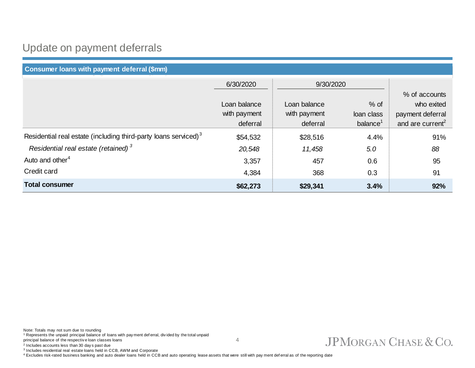## Update on payment deferrals

| Consumer loans with payment deferral (\$mm)                                 |              |              |             |                              |  |  |
|-----------------------------------------------------------------------------|--------------|--------------|-------------|------------------------------|--|--|
|                                                                             | 6/30/2020    |              | 9/30/2020   |                              |  |  |
|                                                                             |              |              |             | % of accounts                |  |  |
|                                                                             | Loan balance | Loan balance | $%$ of      | who exited                   |  |  |
|                                                                             | with payment | with payment | loan class  | payment deferral             |  |  |
|                                                                             | deferral     | deferral     | balance $1$ | and are current <sup>2</sup> |  |  |
| Residential real estate (including third-party loans serviced) <sup>3</sup> | \$54,532     | \$28,516     | 4.4%        | 91%                          |  |  |
| Residential real estate (retained) <sup>3</sup>                             | 20,548       | 11,458       | 5.0         | 88                           |  |  |
| Auto and other <sup>4</sup>                                                 | 3,357        | 457          | 0.6         | 95                           |  |  |
| Credit card                                                                 | 4,384        | 368          | 0.3         | 91                           |  |  |
| <b>Total consumer</b>                                                       | \$62,273     | \$29,341     | 3.4%        | 92%                          |  |  |

4

Note: Totals may not sum due to rounding <sup>1</sup> Represents the unpaid principal balance of loans with pay ment def erral, div ided by the total unpaid principal balance of the respectiv e loan classes loans

2 Includes accounts less than 30 day s past due

3 Includes residential real estate loans held in CCB, AWM and Corporate

4 Excludes risk-rated business banking and auto dealer loans held in CCB and auto operating lease assets that were still with pay ment deferral as of the reporting date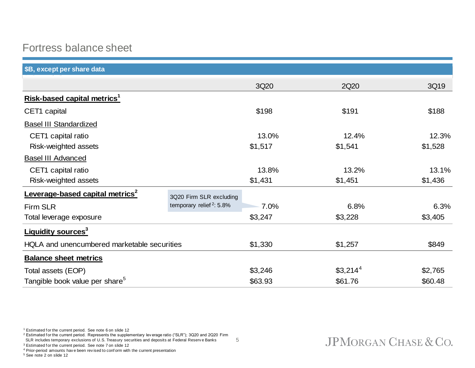## Fortress balance sheet

| \$B, except per share data                  |                                      |         |                      |         |
|---------------------------------------------|--------------------------------------|---------|----------------------|---------|
|                                             |                                      | 3Q20    | 2Q20                 | 3Q19    |
| Risk-based capital metrics <sup>1</sup>     |                                      |         |                      |         |
| CET1 capital                                |                                      | \$198   | \$191                | \$188   |
| <b>Basel III Standardized</b>               |                                      |         |                      |         |
| CET1 capital ratio                          |                                      | 13.0%   | 12.4%                | 12.3%   |
| Risk-weighted assets                        |                                      | \$1,517 | \$1,541              | \$1,528 |
| <b>Basel III Advanced</b>                   |                                      |         |                      |         |
| CET1 capital ratio                          |                                      | 13.8%   | 13.2%                | 13.1%   |
| Risk-weighted assets                        |                                      | \$1,431 | \$1,451              | \$1,436 |
| Leverage-based capital metrics <sup>2</sup> | 3Q20 Firm SLR excluding              |         |                      |         |
| <b>Firm SLR</b>                             | temporary relief <sup>2</sup> : 5.8% | 7.0%    | 6.8%                 | 6.3%    |
| Total leverage exposure                     |                                      | \$3,247 | \$3,228              | \$3,405 |
| <b>Liquidity sources<sup>3</sup></b>        |                                      |         |                      |         |
| HQLA and unencumbered marketable securities |                                      | \$1,330 | \$1,257              | \$849   |
| <b>Balance sheet metrics</b>                |                                      |         |                      |         |
| Total assets (EOP)                          |                                      | \$3,246 | \$3,214 <sup>4</sup> | \$2,765 |
| Tangible book value per share <sup>5</sup>  |                                      | \$63.93 | \$61.76              | \$60.48 |

5

<sup>1</sup> Estimated f or the current period. See note 6 on slide 12

<sup>2</sup> Estimated for the current period. Represents the supplementary lev erage ratio ("SLR"); 3Q20 and 2Q20 Firm

SLR includes temporary exclusions of U.S. Treasury securities and deposits at Federal Reserv e Banks

<sup>3</sup> Estimated f or the current period. See note 7 on slide 12

<sup>4</sup> Prior-period amounts hav e been rev ised to conf orm with the current presentation

<sup>5</sup> See note 2 on slide 12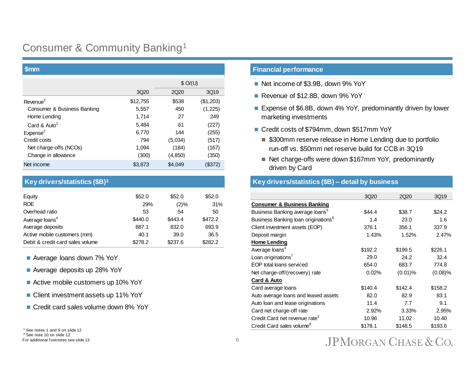## Consumer & Community Banking<sup>1</sup>

| <b>Smm</b>                  |                  |         |           |  |
|-----------------------------|------------------|---------|-----------|--|
|                             |                  | \$O/(U) |           |  |
|                             | 3Q <sub>20</sub> | 2Q20    | 3Q19      |  |
| Revenue <sup>2</sup>        | \$12,755         | \$538   | (\$1,203) |  |
| Consumer & Business Banking | 5,557            | 450     | (1,225)   |  |
| Home Lending                | 1,714            | 27      | 249       |  |
| Card & Auto <sup>2</sup>    | 5,484            | 61      | (227)     |  |
| Expense <sup>2</sup>        | 6,770            | 144     | (255)     |  |
| Credit costs                | 794              | (5,034) | (517)     |  |
| Net charge-offs (NCOs)      | 1.094            | (184)   | (167)     |  |
| Change in allowance         | (300)            | (4,850) | (350)     |  |
| Net income                  | \$3,873          | \$4,049 | (\$372)   |  |

### **Key drivers/statistics (\$B)<sup>3</sup>**

| Equity                           | \$52.0  | \$52.0  | \$52.0  |
|----------------------------------|---------|---------|---------|
| <b>ROE</b>                       | 29%     | $(2)\%$ | 31%     |
| Overhead ratio                   | 53      | 54      | 50      |
| Average loans <sup>4</sup>       | \$440.0 | \$443.4 | \$472.2 |
| Average deposits                 | 887.1   | 832.0   | 693.9   |
| Active mobile customers (mm)     | 40.1    | 39.0    | 36.5    |
| Debit & credit card sales volume | \$278.2 | \$237.6 | \$282.2 |

- Average loans down 7% YoY
- Average deposits up 28% YoY
- Active mobile customers up 10% YoY
- Client investment assets up 11% YoY
- Credit card sales volume down 8% YoY

### **Financial performance**

- Net income of \$3.9B, down 9% YoY
- Revenue of \$12.8B, down 9% YoY
- Expense of \$6.8B, down 4% YoY, predominantly driven by lower marketing investments
- Credit costs of \$794mm, down \$517mm YoY
	- \$300mm reserve release in Home Lending due to portfolio run-off vs. \$50mm net reserve build for CCB in 3Q19
	- Net charge-offs were down \$167mm YoY, predominantly driven by Card

### **Key drivers/statistics (\$B) – detail by business**

|                                                 | 3Q20    | 2Q20       | 3Q19       |
|-------------------------------------------------|---------|------------|------------|
| <b>Consumer &amp; Business Banking</b>          |         |            |            |
| Business Banking average loans <sup>5</sup>     | \$44.4  | \$38.7     | \$24.2     |
| Business Banking loan originations <sup>6</sup> | 1.4     | 23.0       | 1.6        |
| Client investment assets (EOP)                  | 376.1   | 356.1      | 337.9      |
| Deposit margin                                  | 1.43%   | 1.52%      | 2.47%      |
| Home Lending                                    |         |            |            |
| Average loans <sup>4</sup>                      | \$192.2 | \$199.5    | \$226.1    |
| Loan originations <sup>7</sup>                  | 29.0    | 24.2       | 32.4       |
| EOP total loans serviced                        | 654.0   | 683.7      | 774.8      |
| Net charge-off/(recovery) rate                  | 0.02%   | $(0.01)$ % | $(0.08)\%$ |
| Card & Auto                                     |         |            |            |
| Card average loans                              | \$140.4 | \$142.4    | \$158.2    |
| Auto average loans and leased assets            | 82.0    | 82.9       | 83.1       |
| Auto loan and lease originations                | 11.4    | 7.7        | 9.1        |
| Card net charge-off rate                        | 2.92%   | 3.33%      | 2.95%      |
| Credit Card net revenue rate <sup>2</sup>       | 10.96   | 11.02      | 10.40      |
| Credit Card sales volume <sup>8</sup>           | \$178.1 | \$148.5    | \$193.6    |

<sup>1</sup> See notes 1 and 9 on slide 12

<sup>2</sup> See note 10 on slide 12 For additional f ootnotes see slide 13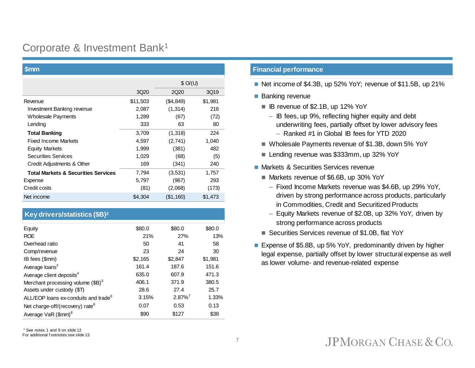## Corporate & Investment Bank<sup>1</sup>

| <b>Smm</b>                                     |          |           |         |  |
|------------------------------------------------|----------|-----------|---------|--|
|                                                |          | \$O/(U)   |         |  |
|                                                | 3Q20     | 2Q20      | 3Q19    |  |
| Revenue                                        | \$11,503 | (\$4,849) | \$1,981 |  |
| Investment Banking revenue                     | 2,087    | (1, 314)  | 216     |  |
| <b>Wholesale Payments</b>                      | 1,289    | (67)      | (72)    |  |
| Lending                                        | 333      | 63        | 80      |  |
| <b>Total Banking</b>                           | 3,709    | (1,318)   | 224     |  |
| <b>Fixed Income Markets</b>                    | 4,597    | (2,741)   | 1,040   |  |
| <b>Equity Markets</b>                          | 1,999    | (381)     | 482     |  |
| <b>Securities Services</b>                     | 1,029    | (68)      | (5)     |  |
| Credit Adjustments & Other                     | 169      | (341)     | 240     |  |
| <b>Total Markets &amp; Securities Services</b> | 7,794    | (3,531)   | 1,757   |  |
| Expense                                        | 5,797    | (967)     | 293     |  |
| Credit costs                                   | (81)     | (2,068)   | (173)   |  |
| Net income                                     | \$4,304  | (\$1,160) | \$1,473 |  |

## **Key drivers/statistics (\$B)<sup>2</sup>**

| \$80.0  | \$80.0                | \$80.0  |
|---------|-----------------------|---------|
| 21%     | 27%                   | 13%     |
| 50      | 41                    | 58      |
| 23      | 24                    | 30      |
| \$2,165 | \$2,847               | \$1,981 |
| 161.4   | 187.6                 | 151.6   |
| 635.0   | 607.9                 | 471.3   |
| 406.1   | 371.9                 | 380.5   |
| 28.6    | 27.4                  | 25.7    |
| 3.15%   | $2.87\%$ <sup>7</sup> | 1.33%   |
| 0.07    | 0.53                  | 0.13    |
| \$90    | \$127                 | \$38    |
|         |                       |         |

<sup>1</sup> See notes 1 and 9 on slide 12

### For additional f ootnotes see slide 13

### **Financial performance**

- Net income of \$4.3B, up 52% YoY; revenue of \$11.5B, up 21%
- **Banking revenue** 
	- IB revenue of \$2.1B, up 12% YoY
		- IB fees, up 9%, reflecting higher equity and debt underwriting fees, partially offset by lower advisory fees
			- Ranked #1 in Global IB fees for YTD 2020
	- Wholesale Payments revenue of \$1.3B, down 5% YoY
	- Lending revenue was \$333mm, up 32% YoY
- **Markets & Securities Services revenue** 
	- Markets revenue of \$6.6B, up 30% YoY
		- Fixed Income Markets revenue was \$4.6B, up 29% YoY, driven by strong performance across products, particularly in Commodities, Credit and Securitized Products
		- Equity Markets revenue of \$2.0B, up 32% YoY, driven by strong performance across products
	- Securities Services revenue of \$1.0B, flat YoY
- Expense of \$5.8B, up 5% YoY, predominantly driven by higher legal expense, partially offset by lower structural expense as well as lower volume- and revenue-related expense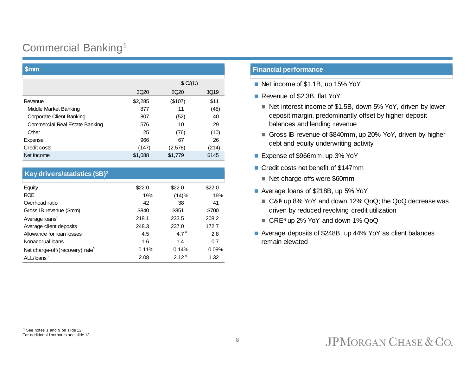## Commercial Banking<sup>1</sup>

|                                       |                  | \$O/(U)          |       |  |
|---------------------------------------|------------------|------------------|-------|--|
|                                       | 3Q <sub>20</sub> | 2Q <sub>20</sub> | 3Q19  |  |
| Revenue                               | \$2,285          | (\$107)          | \$11  |  |
| Middle Market Banking                 | 877              | 11               | (48)  |  |
| Corporate Client Banking              | 807              | (52)             | 40    |  |
| <b>Commercial Real Estate Banking</b> | 576              | 10               | 29    |  |
| Other                                 | 25               | (76)             | (10)  |  |
| Expense                               | 966              | 67               | 26    |  |
| Credit costs                          | (147)            | (2,578)          | (214) |  |
| Net income                            | \$1,088          | \$1,779          | \$145 |  |

### **Key drivers/statistics (\$B)<sup>2</sup>**

| Equity                                      | \$22.0 | \$22.0            | \$22.0 |
|---------------------------------------------|--------|-------------------|--------|
| <b>ROE</b>                                  | 19%    | (14)%             | 16%    |
| Overhead ratio                              | 42     | 38                | 41     |
| Gross IB revenue (\$mm)                     | \$840  | \$851             | \$700  |
| Average loans <sup>3</sup>                  | 218.1  | 233.5             | 208.2  |
| Average client deposits                     | 248.3  | 237.0             | 172.7  |
| Allowance for loan losses                   | 4.5    | $4.7^{4}$         | 2.8    |
| Nonaccrual loans                            | 1.6    | 1.4               | 0.7    |
| Net charge-off/(recovery) rate <sup>5</sup> | 0.11%  | 0.14%             | 0.09%  |
| ALL/loans <sup>5</sup>                      | 2.08   | 2.12 <sup>4</sup> | 1.32   |

### **\$mm Financial performance**

- Net income of \$1.1B, up 15% YoY
- Revenue of \$2.3B, flat YoY
	- Net interest income of \$1.5B, down 5% YoY, driven by lower deposit margin, predominantly offset by higher deposit balances and lending revenue
	- Gross IB revenue of \$840mm, up 20% YoY, driven by higher debt and equity underwriting activity
- Expense of \$966mm, up 3% YoY
- Credit costs net benefit of \$147mm
	- Net charge-offs were \$60mm
- Average loans of \$218B, up 5% YoY
	- C&I<sup>6</sup> up 8% YoY and down 12% QoQ; the QoQ decrease was driven by reduced revolving credit utilization
	- CRE<sup>6</sup> up 2% YoY and down 1% QoQ
- Average deposits of \$248B, up 44% YoY as client balances remain elevated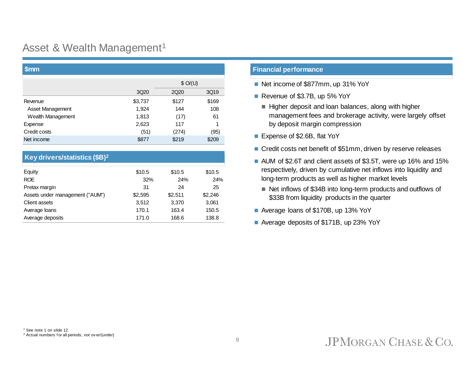## Asset & Wealth Management<sup>1</sup>

| <u>'Smm</u>       |         |                  |       |  |
|-------------------|---------|------------------|-------|--|
|                   |         | \$O/(U)          |       |  |
|                   | 3Q20    | 2Q <sub>20</sub> | 3Q19  |  |
| Revenue           | \$3,737 | \$127            | \$169 |  |
| Asset Management  | 1,924   | 144              | 108   |  |
| Wealth Management | 1,813   | (17)             | 61    |  |
| Expense           | 2,623   | 117              |       |  |
| Credit costs      | (51)    | (274)            | (95)  |  |
| Net income        | \$877   | \$219            | \$209 |  |

### **Key drivers/statistics (\$B)<sup>2</sup>**

| Equity                          | \$10.5  | \$10.5  | \$10.5  |
|---------------------------------|---------|---------|---------|
| <b>ROE</b>                      | 32%     | 24%     | 24%     |
| Pretax margin                   | 31      | 24      | 25      |
| Assets under management ("AUM") | \$2,595 | \$2,511 | \$2,246 |
| Client assets                   | 3.512   | 3.370   | 3,061   |
| Average loans                   | 170.1   | 163.4   | 150.5   |
| Average deposits                | 171.0   | 168.6   | 138.8   |

### **Financial performance**

- Net income of \$877mm, up 31% YoY
- Revenue of \$3.7B, up 5% YoY
	- Higher deposit and loan balances, along with higher management fees and brokerage activity, were largely offset by deposit margin compression
- Expense of \$2.6B, flat YoY
- Credit costs net benefit of \$51mm, driven by reserve releases
- **AUM** of \$2.6T and client assets of \$3.5T, were up 16% and 15% respectively, driven by cumulative net inflows into liquidity and long-term products as well as higher market levels
	- Net inflows of \$34B into long-term products and outflows of \$33B from liquidity products in the quarter
- Average loans of \$170B, up 13% YoY
- Average deposits of \$171B, up 23% YoY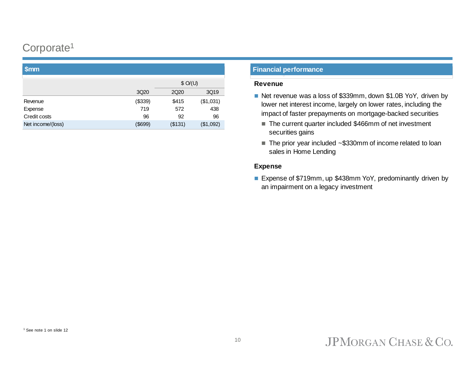## Corporate<sup>1</sup>

| <b>VIIIII</b>     |                  |         |           |  |
|-------------------|------------------|---------|-----------|--|
|                   |                  |         | \$O/(U)   |  |
|                   | 3Q <sub>20</sub> | 2Q20    | 3Q19      |  |
| Revenue           | (\$339)          | \$415   | (\$1,031) |  |
| Expense           | 719              | 572     | 438       |  |
| Credit costs      | 96               | 92      | 96        |  |
| Net income/(loss) | \$699            | (\$131) | (\$1,092) |  |
|                   |                  |         |           |  |

## **\$mm Financial performance**

### **Revenue**

- Net revenue was a loss of \$339mm, down \$1.0B YoY, driven by lower net interest income, largely on lower rates, including the impact of faster prepayments on mortgage-backed securities
	- The current quarter included \$466mm of net investment securities gains
	- $\blacksquare$  The prior year included  $\sim$ \$330mm of income related to loan sales in Home Lending

### **Expense**

■ Expense of \$719mm, up \$438mm YoY, predominantly driven by an impairment on a legacy investment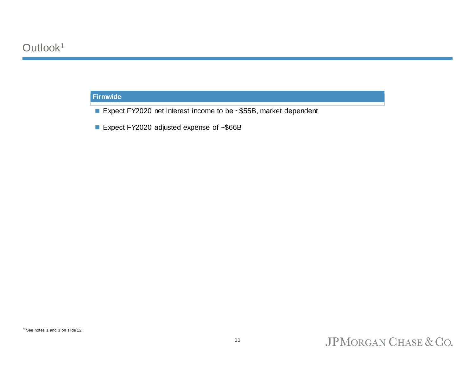## **Firmwide**

- Expect FY2020 net interest income to be ~\$55B, market dependent
- Expect FY2020 adjusted expense of ~\$66B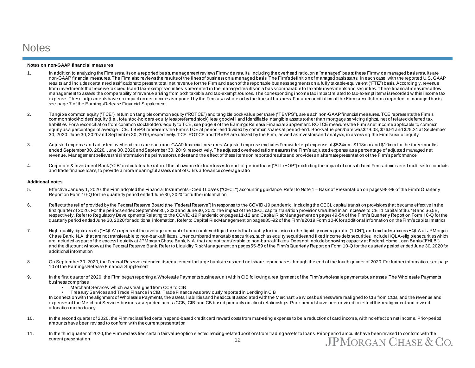## **Notes**

### **Notes on non-GAAP financial measures**

- 1. In addition to analyzing the Firm's results on a reported basis, management reviews Firmwide results, including the overhead ratio, on a "managed" basis; these Firmwide managed basis results are non-GAAP financial measures. The Firm also reviews the results of the lines of business on a managed basis. The Firm's definitio n of managed basis starts, in each case, with the reported U.S. GAAP results and includes certain reclassifications to present total net revenue for the Firm and each of the reportable business segments on a fully taxable-equivalent ("FTE") basis. Accordingly, revenue from investments that receive tax credits and tax-exempt securities is presented in the managed results on a basis comparable to taxable investments and securities. These financial measures allow management to assess the comparability of revenue arising from both taxable and tax-exempt sources. The corresponding income tax impact related to tax-exempt items is recorded within income tax expense. These adjustments have no impact on net income as reported by the Firm as a whole or by the lines of business. For a reconciliation of the Firm's results from a reported to managed basis. see page 7 of the Earnings Release Financial Supplement
- 2. Tangible common equity ("TCE"), return on tangible common equity ("ROTCE") and tangible book value per share ("TBVPS"), are e ach non-GAAP financial measures. TCE represents the Firm's common stockholders' equity (i.e., total stockholders' equity less preferred stock) less goodwill and identifiable intangible assets (other than mortgage servicing rights), net of related deferred tax liabilities. For a reconciliation from common stockholders' equity to TCE, see page 9 of the Earnings Release Financial Supplement. ROTCE measures the Firm's net income applicable to common equity as a percentage of average TCE. TBVPS represents the Firm's TCE at period-end divided by common shares at period-end. Book value per share was \$79.08, \$76.91 and \$75.24 at September 30, 2020, June 30, 2020 and September 30, 2019, respectively. TCE, ROTCE and TBVPS are utilized by the Firm, as well as investors and analysts, in assessing the Firm's use of equity
- 3. Adjusted expense and adjusted overhead ratio are each non-GAAP financial measures. Adjusted expense excludes Firmwide legal expense of \$524mm, \$118mm and \$10mm for the three months ended September 30, 2020, June 30, 2020 and September 30, 2019, respectively. The adjusted overhead ratio measures the Firm's adjusted expense as a percentage of adjusted managed net revenue. Management believes this information helps investors understand the effect of these items on reported results and provides an alternate presentation of the Firm's performance
- 4. Corporate & Investment Bank ("CIB") calculates the ratio of the allowance for loan losses to end-of-period loans ("ALL/EOP") excluding the impact of consolidated Firm-administered multi-seller conduits and trade finance loans, to provide a more meaningful assessment of CIB's allowance coverage ratio

### **Additional notes**

- 5. Effective January 1, 2020, the Firm adopted the Financial Instruments Credit Losses ("CECL") accounting guidance. Refer to Note 1 Basis of Presentation on pages 98-99 of the Firm's Quarterly Report on Form 10-Q for the quarterly period ended June 30, 2020 for further information
- 6. Reflects the relief provided by the Federal Reserve Board (the "Federal Reserve") in response to the COVID-19 pandemic, including the CECL capital transition provisions that became effective in the first quarter of 2020. For the periods ended September 30, 2020 and June 30, 2020, the impact of the CECL capital transition provisions resulted in an increase to CET1 capital of \$6.4B and \$6.5B, respectively. Refer to Regulatory Developments Relating to the COVID-19 Pandemic on pages 11-12 and Capital Risk Management on pages 49-54 of the Firm's Quarterly Report on Form 10-Q for the quarterly period ended June 30, 2020 for additional information. Refer to Capital Risk Management on pages 85 -92 of the Firm's 2019 Form 10-K for additional information on the Firm's capital metrics
- 7. High-quality liquid assets ("HQLA") represent the average amount of unencumbered liquid assets that qualify for inclusion in the liquidity coverage ratio ("LCR"), and excludes excess HQLA at JPMorgan Chase Bank, N.A. that are not transferable to non-bank affiliates. Unencumbered marketable securities, such as equity securities and fixed income debt securities, include HQLA-eligible securities which are included aspart of the excess liquidity at JPMorgan Chase Bank, N.A. that are not transferable to non-bankaffiliates. Does not include borrowing capacity at Federal Home Loan Banks ("FHLB") and the discount window at the Federal Reserve Bank. Refer to Liquidity Risk Management on pages 55 -59 of the Firm's Quarterly Report on Form 10-Q for the quarterly period ended June 30, 2020 for additional information
- 8. On September 30, 2020, the Federal Reserve extended its requirement for large banks to suspend net share repurchases through the end of the fourth quarter of 2020. For further information, see page 10 of the Earnings Release Financial Supplement
- 9. In the first quarter of 2020, the Firm began reporting a Wholesale Payments business unit within CIB following a realignment of the Firm's wholesale payments businesses. The Wholesale Payments business comprises:
	- Merchant Services, which was realigned from CCB to CIB
	- Treasury Services and Trade Finance in CIB. Trade Finance was previously reported in Lending in CIB

In connection with the alignment of Wholesale Payments, the assets, liabilities and headcount associated with the Merchant Se rvices business were realigned to CIB from CCB, and the revenue and expenses of the Merchant Services business is reported across CCB, CIB and CB based primarily on client relationships. Prior periods have been revised to reflect this realignment and revised allocation methodology

- 10. In the second quarter of 2020, the Firm reclassified certain spend-based credit card reward costs from marketing expense to be a reduction of card income, with no effect on net income. Prior-period amounts have been revised to conform with the current presentation
- 11. In the third quarter of 2020, the Firm reclassified certain fair value option elected lending-related positions from trading assets to loans. Prior-period amounts have been revised to conform with the current presentationJPMORGAN CHASE & CO. 12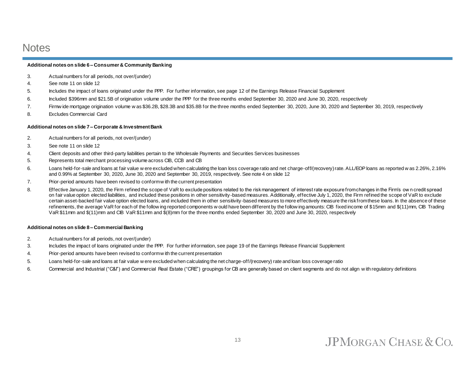## **Notes**

### **Additional notes on slide 6 – Consumer & Community Banking**

- 3. Actual numbers for all periods, not over/(under)
- 4. See note 11 on slide 12
- 5. Includes the impact of loans originated under the PPP. For further information, see page 12 of the Earnings Release Financial Supplement
- 6. Included \$396mm and \$21.5B of origination volume under the PPP for the three months ended September 30, 2020 and June 30, 2020, respectively
- 7. Firmw ide mortgage origination volume w as \$36.2B, \$28.3B and \$35.8B for the three months ended September 30, 2020, June 30, 2020 and September 30, 2019, respectively
- 8. Excludes Commercial Card

### **Additional notes on slide 7 – Corporate & Investment Bank**

- 2. Actual numbers for all periods, not over/(under)
- 3. See note 11 on slide 12
- 4. Client deposits and other third-party liabilities pertain to the Wholesale Payments and Securities Services businesses
- 5. Represents total merchant processing volume across CIB, CCB and CB
- 6. Loans held-for-sale and loans at fair value w ere excluded when calculating the loan loss coverage ratio and net charge-off/(recovery) rate. ALL/EOP loans as reported w as 2.26%, 2.16% and 0.99% at September 30, 2020, June 30, 2020 and September 30, 2019, respectively. See note 4 on slide 12
- 7. Prior-period amounts have been revised to conform w ith the current presentation
- 8. Effective January 1, 2020, the Firm refined the scope of VaR to exclude positions related to the risk management of interest rate exposure from changes in the Firm's own credit spread on fair value option elected liabilities, and included these positions in other sensitivity-based measures. Additionally, effective July 1, 2020, the Firm refined the scope of VaR to exclude certain asset-backed fair value option elected loans, and included them in other sensitivity-based measures to more effectively measure the risk from these loans. In the absence of these refinements, the average VaR for each of the follow ing reported components w ould have been different by the follow ing amounts: CIB fixed income of \$15mm and \$(11)mm, CIB Trading VaR \$11mm and \$(11)mm and CIB VaR \$11mm and \$(8)mm for the three months ended September 30, 2020 and June 30, 2020, respectively

### **Additional notes on slide 8 – Commercial Banking**

- 2. Actual numbers for all periods, not over/(under)
- 3. Includes the impact of loans originated under the PPP. For further information, see page 19 of the Earnings Release Financial Supplement
- 4. Prior-period amounts have been revised to conform w ith the current presentation
- 5. Loans held-for-sale and loans at fair value w ere excluded when calculating the net charge-off/(recovery) rate and loan loss coverage ratio
- 6. Commercial and Industrial ("C&I") and Commercial Real Estate ("CRE") groupings for CB are generally based on client segments and do not align w ith regulatory definitions